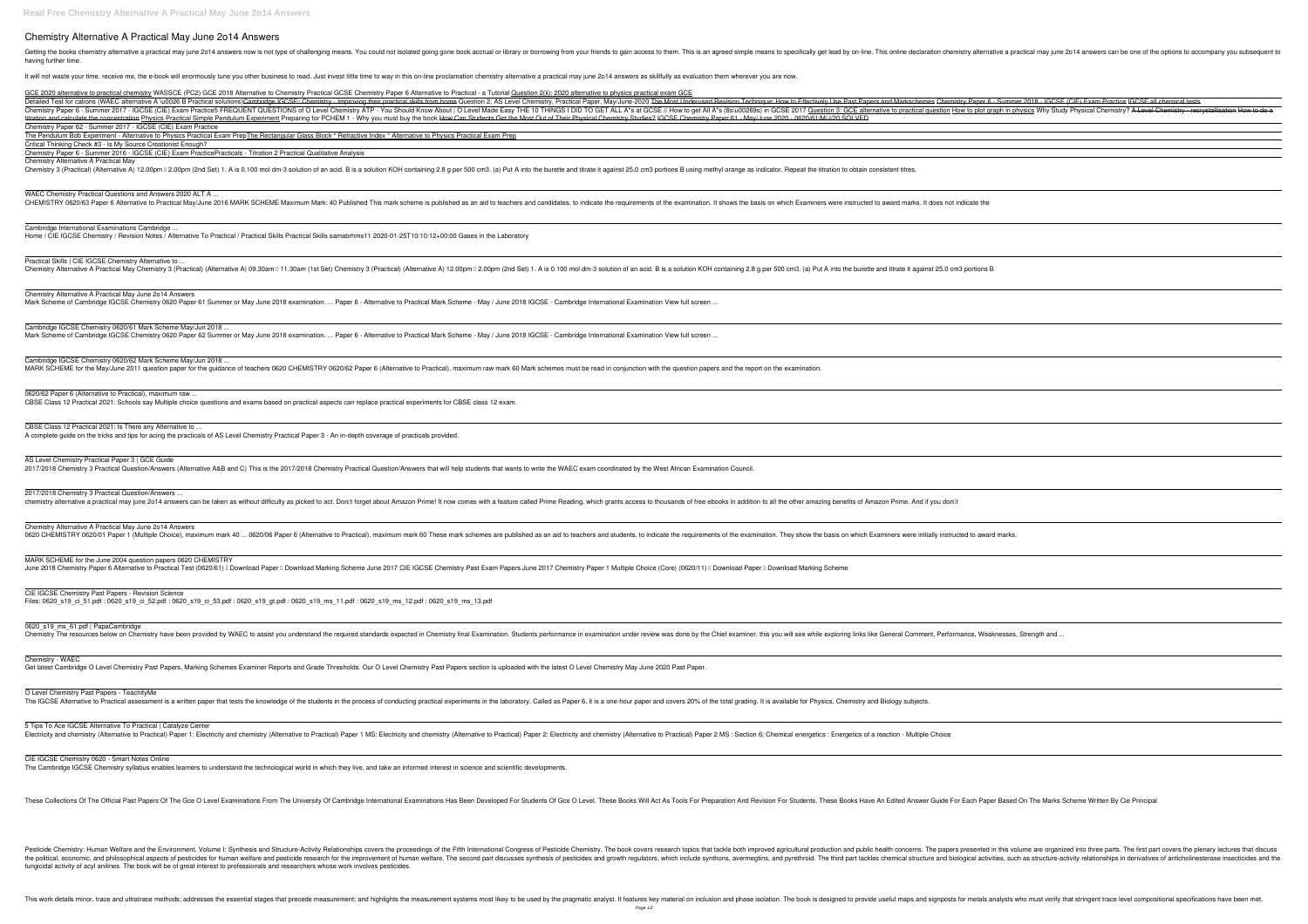## **Chemistry Alternative A Practical May June 2o14 Answers**

Getting the books chemistry alternative a practical may june 2014 answers now is not type of challenging means. You could not isolated going gone book accrual or library or borrowing from your friends to gain access to the having further time.

Chemistry Paper 62 - Summer 2017 - IGCSE (CIE) Exam Practice The Pendulum Bob Experiment - Alternative to Physics Practical Exam PrepThe Rectangular Glass Block \* Refractive Index \* Alternative to Physics Practical Exam Prep

It will not waste your time, receive me, the e-book will enormously tune you other business to read. Just invest little time to way in this on-line proclamation chemistry alternative a practical may june 2014 answers as sk GCE 2020 alternative to practical chemistry WASSCE (PC2) GCE 2018 Alternative to Chemistry Practical GCSE Chemistry Paper 6 Alternative to Practical - a Tutorial Question 2(ii): 2020 alternative to physics practical exam G Detailed Test for cations (WAEC alternative A \u0026 B Practical solutions)<del>Cambridge IGCSEI Chemistry - Improving their practical skills from home</del> Question 2, AS Level Chemistry, Practical Paper, May/June-2020 The Most U Ohemistry Paper 6 - Summer 2017 - IGCSE (CIE) Exam Practice5 FREQUENT QUESTIONS of O Level Chemistry ATP - You Should Know About | O Level Made Easy THE 10 THINGS I DID TO GET ALL A\*s at GCSE // How to get All A\*s (8s)u002 titration and calculate the concentration Physics Practical Simple Pendulum Experiment Preparing for PCHEM 1 - Why you must buy the book How Can Students Get the Most Out of Their Physical Chemistry Studies? IGCSE Chemistr Critical Thinking Check #3 - Is My Source Creationist Enough? Chemistry Paper 6 - Summer 2016 - IGCSE (CIE) Exam Practice*Practicals - Titration 2 Practical Qualitative Analysis* Chemistry Alternative A Practical May Chemistry 3 (Practical) (Alternative A) 12.00pm 0 2.00pm (2nd Set) 1. A is 0.100 mol dm-3 solution of an acid. B is a solution KOH containing 2.8 g per 500 cm3. (a) Put A into the burette and titrate it against 25.0 cm3 p WAEC Chemistry Practical Questions and Answers 2020 ALT A ... CHEMISTRY 0620/63 Paper 6 Alternative to Practical May/June 2016 MARK SCHEME Maximum Mark: 40 Published This mark scheme is published as an aid to teachers and candidates, to indicate the requirements of the examination. I Cambridge International Examinations Cambridge ... Home / CIE IGCSE Chemistry / Revision Notes / Alternative To Practical / Practical Skills Practical Skills samabrhms11 2020-01-25T10:10:12+00:00 Gases in the Laboratory Practical Skills | CIE IGCSE Chemistry Alternative to . Chemistry Alternative A Practical May Chemistry 3 (Practical) (Alternative A) 09.30am 0 11.30am (1st Set) Chemistry 3 (Practical) (Alternative A) 12.00pm 0 2.00pm 0 2.00pm 0 2.00pm 0 2.00pm 0 and acid. B is a solution KOH Chemistry Alternative A Practical May June 2o14 Answers Mark Scheme of Cambridge IGCSE Chemistry 0620 Paper 61 Summer or May June 2018 examination. ... Paper 6 - Alternative to Practical Mark Scheme - May / June 2018 IGCSE - Cambridge International Examination View full screen. Cambridge IGCSE Chemistry 0620/61 Mark Scheme May/Jun 2018 ... Mark Scheme of Cambridge IGCSE Chemistry 0620 Paper 62 Summer or May June 2018 examination. ... Paper 6 - Alternative to Practical Mark Scheme - May / June 2018 IGCSE - Cambridge International Examination View full screen. Cambridge IGCSE Chemistry 0620/62 Mark Scheme May/Jun 2018 ... MARK SCHEME for the May/June 2011 question paper for the guidance of teachers 0620 CHEMISTRY 0620/62 Paper 6 (Alternative to Practical), maximum raw mark 60 Mark schemes must be read in conjunction with the question papers 0620/62 Paper 6 (Alternative to Practical), maximum raw. CBSE Class 12 Practical 2021: Schools say Multiple choice questions and exams based on practical aspects can replace practical experiments for CBSE class 12 exam. CBSE Class 12 Practical 2021: Is There any Alternative to ... A complete guide on the tricks and tips for acing the practicals of AS Level Chemistry Practical Paper 3 - An in-depth coverage of practicals provided. AS Level Chemistry Practical Paper 3 | GCE Guide

2017/2018 Chemistry 3 Practical Question/Answers (Alternative A&B and C) This is the 2017/2018 Chemistry Practical Question/Answers that will help students that wants to write the WAEC exam coordinated by the West African

2017/2018 Chemistry 3 Practical Question/Answers ... chemistry alternative a practical may june 2014 answers can be taken as without difficulty as picked to act. Donllt forget about Amazon Prime! It now comes with a feature called Prime Reading, which grants access to thousa

Chemistry Alternative A Practical May June 2o14 Answers 0620 CHEMISTRY 0620/01 Paper 1 (Multiple Choice), maximum mark 40 ... 0620/06 Paper 6 (Alternative to Practical), maximum mark 60 These mark schemes are published as an aid to teachers and students, to indicate the require

MARK SCHEME for the June 2004 question papers 0620 CHEMISTRY June 2018 Chemistry Paper 6 Alternative to Practical Test (0620/61) I Download Paper I Download Marking Scheme June 2017 CIE IGCSE Chemistry Past Exam Papers June 2017 Chemistry Paper 1 Multiple Choice (Core) (0620/11) I D

Ongress of the Fifth International Congress of Pesticide Chemistry: Human Welfare and the Environment, Volume I: Synthesis and Structure-Activity Relationships covers the proceedings of the Fifth International Congress of nerectivity relationships, and the political, economic, and philosophical aspects of pesticides for human welfare and pesticides for human welfare and pesticide research for the improvement of human welfare. The second par fungicidal activity of acyl anilines. The book will be of great interest to professionals and researchers whose work involves pesticides.

This work details minor, trace and ultratrace methods; addresses the essential stages that precede measurement; and highlights the measurement; and highlights the measurement systems most likey to be used by the pragmatic

CIE IGCSE Chemistry Past Papers - Revision Science Files: 0620\_s19\_ci\_51.pdf : 0620\_s19\_ci\_52.pdf : 0620\_s19\_ci\_53.pdf : 0620\_s19\_gt.pdf : 0620\_s19\_ms\_11.pdf : 0620\_s19\_ms\_12.pdf : 0620\_s19\_ms\_13.pdf

0620\_s19\_ms\_61.pdf | PapaCambridge

Chemistry The resources below on Chemistry have been provided by WAEC to assist you understand the required standards expected in Chemistry final Examination. Students performance in examination under review was done by th

Chemistry - WAEC

Get latest Cambridge O Level Chemistry Past Papers, Marking Schemes Examiner Reports and Grade Thresholds. Our O Level Chemistry Past Papers section is uploaded with the latest O Level Chemistry May June 2020 Past Paper.

O Level Chemistry Past Papers - TeachifyMe

The IGCSE Alternative to Practical assessment is a written paper that tests the knowledge of the students in the process of conducting practical experiments in the laboratory. Called as Paper 6, it is a one-hour paper and

5 Tips To Ace IGCSE Alternative To Practical | Catalyze Center

Electricity and chemistry (Alternative to Practical) Paper 1: Electricity and chemistry (Alternative to Practical) Paper 1 MS: Electricity and chemistry (Alternative to Practical) Paper 2: Electricity and chemistry (Altern

CIE IGCSE Chemistry 0620 - Smart Notes Online

The Cambridge IGCSE Chemistry syllabus enables learners to understand the technological world in which they live, and take an informed interest in science and scientific developments.

These Collections Of The Official Past Papers Of The Gce O Level Examinations From The University Of Cambridge International Examinations Has Been Developed For Students Of Gce O Level. These Books Will Act As Tools For Pr

| 6 - Summer 2018 - IGCSE (CIE) Exam Practice IGCSE all chemical tests<br>graph in physics Why Study Physical Chemistry? A Level Chemistry - recrystallisation How to do a |
|--------------------------------------------------------------------------------------------------------------------------------------------------------------------------|
|                                                                                                                                                                          |
|                                                                                                                                                                          |
|                                                                                                                                                                          |
|                                                                                                                                                                          |
|                                                                                                                                                                          |
|                                                                                                                                                                          |
| e                                                                                                                                                                        |
|                                                                                                                                                                          |
|                                                                                                                                                                          |
|                                                                                                                                                                          |
|                                                                                                                                                                          |
| $\mathsf{B}$                                                                                                                                                             |
|                                                                                                                                                                          |
|                                                                                                                                                                          |
|                                                                                                                                                                          |
|                                                                                                                                                                          |
|                                                                                                                                                                          |
|                                                                                                                                                                          |
|                                                                                                                                                                          |
|                                                                                                                                                                          |
|                                                                                                                                                                          |
|                                                                                                                                                                          |
|                                                                                                                                                                          |
|                                                                                                                                                                          |
|                                                                                                                                                                          |
|                                                                                                                                                                          |
|                                                                                                                                                                          |
|                                                                                                                                                                          |
|                                                                                                                                                                          |
|                                                                                                                                                                          |
|                                                                                                                                                                          |
| ard marks.                                                                                                                                                               |
|                                                                                                                                                                          |
|                                                                                                                                                                          |
|                                                                                                                                                                          |
|                                                                                                                                                                          |
|                                                                                                                                                                          |
|                                                                                                                                                                          |
|                                                                                                                                                                          |
| eaknesses, Strength and                                                                                                                                                  |
|                                                                                                                                                                          |
|                                                                                                                                                                          |
|                                                                                                                                                                          |
|                                                                                                                                                                          |
|                                                                                                                                                                          |
|                                                                                                                                                                          |
|                                                                                                                                                                          |
|                                                                                                                                                                          |
|                                                                                                                                                                          |
|                                                                                                                                                                          |
|                                                                                                                                                                          |
|                                                                                                                                                                          |
| per Based On The Marks Scheme Written By Cie Principal                                                                                                                   |